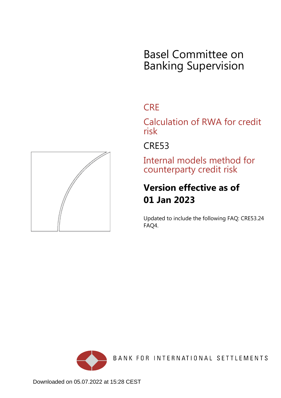# Basel Committee on Banking Supervision

# **CRE**

Calculation of RWA for credit risk

CRE53

Internal models method for counterparty credit risk

# **Version effective as of 01 Jan 2023**

Updated to include the following FAQ: CRE53.24 FAQ4.



BANK FOR INTERNATIONAL SETTLEMENTS

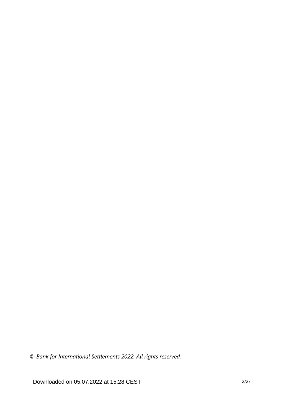*© Bank for International Settlements 2022. All rights reserved.*

Downloaded on 05.07.2022 at 15:28 CEST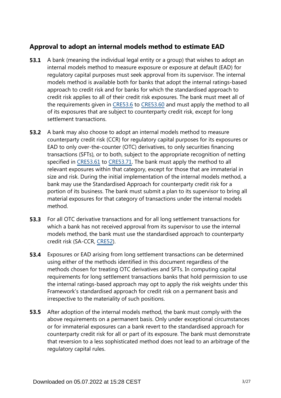## **Approval to adopt an internal models method to estimate EAD**

- A bank (meaning the individual legal entity or a group) that wishes to adopt an internal models method to measure exposure or exposure at default (EAD) for regulatory capital purposes must seek approval from its supervisor. The internal models method is available both for banks that adopt the internal ratings-based approach to credit risk and for banks for which the standardised approach to credit risk applies to all of their credit risk exposures. The bank must meet all of the requirements given in [CRE53.6](https://www.bis.org/basel_framework/chapter/CRE/53.htm?tldate=20230101&inforce=20230101&published=20200605#paragraph_CRE_53_20230101_53_6) to [CRE53.60](https://www.bis.org/basel_framework/chapter/CRE/53.htm?tldate=20230101&inforce=20230101&published=20200605#paragraph_CRE_53_20230101_53_60) and must apply the method to all of its exposures that are subject to counterparty credit risk, except for long settlement transactions. **53.1**
- A bank may also choose to adopt an internal models method to measure counterparty credit risk (CCR) for regulatory capital purposes for its exposures or EAD to only over-the-counter (OTC) derivatives, to only securities financing transactions (SFTs), or to both, subject to the appropriate recognition of netting specified in [CRE53.61](https://www.bis.org/basel_framework/chapter/CRE/53.htm?tldate=20230101&inforce=20230101&published=20200605#paragraph_CRE_53_20230101_53_61) to [CRE53.71](https://www.bis.org/basel_framework/chapter/CRE/53.htm?tldate=20230101&inforce=20230101&published=20200605#paragraph_CRE_53_20230101_53_71). The bank must apply the method to all relevant exposures within that category, except for those that are immaterial in size and risk. During the initial implementation of the internal models method, a bank may use the Standardised Approach for counterparty credit risk for a portion of its business. The bank must submit a plan to its supervisor to bring all material exposures for that category of transactions under the internal models method. **53.2**
- For all OTC derivative transactions and for all long settlement transactions for which a bank has not received approval from its supervisor to use the internal models method, the bank must use the standardised approach to counterparty credit risk (SA-CCR, [CRE52\)](https://www.bis.org/basel_framework/chapter/CRE/52.htm?tldate=20230101&inforce=20230101&published=20200605). **53.3**
- Exposures or EAD arising from long settlement transactions can be determined using either of the methods identified in this document regardless of the methods chosen for treating OTC derivatives and SFTs. In computing capital requirements for long settlement transactions banks that hold permission to use the internal ratings-based approach may opt to apply the risk weights under this Framework's standardised approach for credit risk on a permanent basis and irrespective to the materiality of such positions. **53.4**
- **53.5** After adoption of the internal models method, the bank must comply with the above requirements on a permanent basis. Only under exceptional circumstances or for immaterial exposures can a bank revert to the standardised approach for counterparty credit risk for all or part of its exposure. The bank must demonstrate that reversion to a less sophisticated method does not lead to an arbitrage of the regulatory capital rules.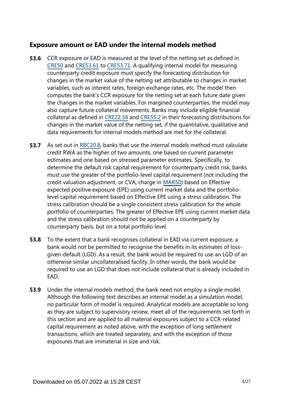### **Exposure amount or EAD under the internal models method**

- CCR exposure or EAD is measured at the level of the netting set as defined in [CRE50](https://www.bis.org/basel_framework/chapter/CRE/50.htm?tldate=20230101&inforce=20191215&published=20191215) and [CRE53.61](https://www.bis.org/basel_framework/chapter/CRE/53.htm?tldate=20230101&inforce=20230101&published=20200605#paragraph_CRE_53_20230101_53_61) to [CRE53.71](https://www.bis.org/basel_framework/chapter/CRE/53.htm?tldate=20230101&inforce=20230101&published=20200605#paragraph_CRE_53_20230101_53_71). A qualifying internal model for measuring counterparty credit exposure must specify the forecasting distribution for changes in the market value of the netting set attributable to changes in market variables, such as interest rates, foreign exchange rates, etc. The model then computes the bank's CCR exposure for the netting set at each future date given the changes in the market variables. For margined counterparties, the model may also capture future collateral movements. Banks may include eligible financial collateral as defined in [CRE22.34](https://www.bis.org/basel_framework/chapter/CRE/22.htm?tldate=20230101&inforce=20230101&published=20201126#paragraph_CRE_22_20230101_22_34) and [CRE55.2](https://www.bis.org/basel_framework/chapter/CRE/55.htm?tldate=20230101&inforce=20230101&published=20200327#paragraph_CRE_55_20230101_55_2) in their forecasting distributions for changes in the market value of the netting set, if the quantitative, qualitative and data requirements for internal models method are met for the collateral. **53.6**
- As set out in [RBC20.8,](https://www.bis.org/basel_framework/chapter/RBC/20.htm?tldate=20230101&inforce=20230101&published=20201126#paragraph_RBC_20_20230101_20_8) banks that use the internal models method must calculate credit RWA as the higher of two amounts, one based on current parameter estimates and one based on stressed parameter estimates. Specifically, to determine the default risk capital requirement for counterparty credit risk, banks must use the greater of the portfolio-level capital requirement (not including the credit valuation adjustment, or CVA, charge in [MAR50](https://www.bis.org/basel_framework/chapter/MAR/50.htm?tldate=20230101&inforce=20230101&published=20200708)) based on Effective expected positive exposure (EPE) using current market data and the portfoliolevel capital requirement based on Effective EPE using a stress calibration. The stress calibration should be a single consistent stress calibration for the whole portfolio of counterparties. The greater of Effective EPE using current market data and the stress calibration should not be applied on a counterparty by counterparty basis, but on a total portfolio level. **53.7**
- To the extent that a bank recognises collateral in EAD via current exposure, a bank would not be permitted to recognise the benefits in its estimates of lossgiven-default (LGD). As a result, the bank would be required to use an LGD of an otherwise similar uncollateralised facility. In other words, the bank would be required to use an LGD that does not include collateral that is already included in EAD. **53.8**
- Under the internal models method, the bank need not employ a single model. Although the following text describes an internal model as a simulation model, no particular form of model is required. Analytical models are acceptable so long as they are subject to supervisory review, meet all of the requirements set forth in this section and are applied to all material exposures subject to a CCR-related capital requirement as noted above, with the exception of long settlement transactions, which are treated separately, and with the exception of those exposures that are immaterial in size and risk. **53.9**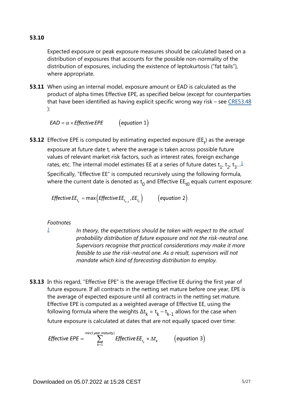Expected exposure or peak exposure measures should be calculated based on a distribution of exposures that accounts for the possible non-normality of the distribution of exposures, including the existence of leptokurtosis ("fat tails"), where appropriate.

**53.11** When using an internal model, exposure amount or EAD is calculated as the product of alpha times Effective EPE, as specified below (except for counterparties that have been identified as having explicit specific wrong way risk – see [CRE53.48](https://www.bis.org/basel_framework/chapter/CRE/53.htm?tldate=20230101&inforce=20230101&published=20200605#paragraph_CRE_53_20230101_53_48) ):

 $EAD = \alpha \times Effective EPE$  (equation 1)

<span id="page-4-1"></span>**53.12** Effective EPE is computed by estimating expected exposure (EE<sub>t</sub>) as the average exposure at future date t, where the average is taken across possible future values of relevant market risk factors, such as interest rates, foreign exchange rates, etc. The internal model estimates EE at a series of future dates  $\mathsf{t}_1^{}$  $\mathsf{t}_1^{}$  $\mathsf{t}_1^{}$ ,  $\mathsf{t}_2^{}$ ,  $\mathsf{t}_3^{}...^{\underline{1}}$ Specifically, "Effective EE" is computed recursively using the following formula,

where the current date is denoted as  $t_0$  and Effective EE<sub>t0</sub> equals current exposure:

*Effective EE*<sub>t<sub>*k*</sub></sub> = max (*Effective EE*<sub>t<sub>*k*-1</sub></sub>, *EE*<sub>t</sub><sub>k</sub></sub>) (equation 2)

#### *Footnotes*

<span id="page-4-0"></span>*[1](#page-4-1)*

*In theory, the expectations should be taken with respect to the actual probability distribution of future exposure and not the risk-neutral one. Supervisors recognise that practical considerations may make it more feasible to use the risk-neutral one. As a result, supervisors will not mandate which kind of forecasting distribution to employ.*

**53.13** In this regard, "Effective EPE" is the average Effective EE during the first year of future exposure. If all contracts in the netting set mature before one year, EPE is the average of expected exposure until all contracts in the netting set mature. Effective EPE is computed as a weighted average of Effective EE, using the following formula where the weights  $\Delta t_k = t_k - t_{k-1}$  allows for the case when future exposure is calculated at dates that are not equally spaced over time:

Effective EPE =  $\sum_{k=1}^{\min(1 \text{ year, maturity})}$  Effective EE<sub>t<sub>k</sub></sub>  $\times \Delta t$ <sub>k</sub> (equation 3)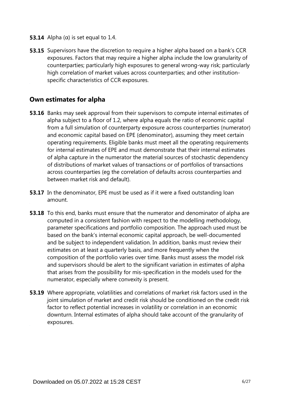- **53.14** Alpha ( $\alpha$ ) is set equal to 1.4.
- **53.15** Supervisors have the discretion to require a higher alpha based on a bank's CCR exposures. Factors that may require a higher alpha include the low granularity of counterparties; particularly high exposures to general wrong-way risk; particularly high correlation of market values across counterparties; and other institutionspecific characteristics of CCR exposures.

#### **Own estimates for alpha**

- **53.16** Banks may seek approval from their supervisors to compute internal estimates of alpha subject to a floor of 1.2, where alpha equals the ratio of economic capital from a full simulation of counterparty exposure across counterparties (numerator) and economic capital based on EPE (denominator), assuming they meet certain operating requirements. Eligible banks must meet all the operating requirements for internal estimates of EPE and must demonstrate that their internal estimates of alpha capture in the numerator the material sources of stochastic dependency of distributions of market values of transactions or of portfolios of transactions across counterparties (eg the correlation of defaults across counterparties and between market risk and default).
- **53.17** In the denominator, EPE must be used as if it were a fixed outstanding loan amount.
- **53.18** To this end, banks must ensure that the numerator and denominator of alpha are computed in a consistent fashion with respect to the modelling methodology, parameter specifications and portfolio composition. The approach used must be based on the bank's internal economic capital approach, be well-documented and be subject to independent validation. In addition, banks must review their estimates on at least a quarterly basis, and more frequently when the composition of the portfolio varies over time. Banks must assess the model risk and supervisors should be alert to the significant variation in estimates of alpha that arises from the possibility for mis-specification in the models used for the numerator, especially where convexity is present.
- **53.19** Where appropriate, volatilities and correlations of market risk factors used in the joint simulation of market and credit risk should be conditioned on the credit risk factor to reflect potential increases in volatility or correlation in an economic downturn. Internal estimates of alpha should take account of the granularity of exposures.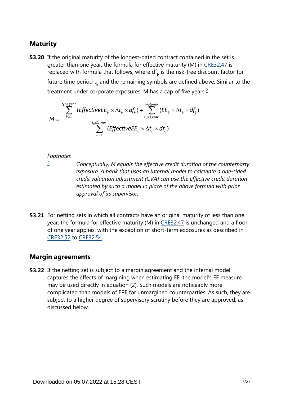## **Maturity**

<span id="page-6-1"></span>**53.20** If the original maturity of the longest-dated contract contained in the set is greater than one year, the formula for effective maturity (M) in [CRE32.47](https://www.bis.org/basel_framework/chapter/CRE/32.htm?tldate=20230101&inforce=20230101&published=20200327#paragraph_CRE_32_20230101_32_47) is replaced with formula that follows, where  $df_k$  is the risk-free discount factor for future time period  $t_k$  and the remaining symbols are defined above. Similar to the treatment under corporate exposures, M has a cap of five years.<sup>[2](#page-6-0)</sup>

$$
M = \frac{\sum_{k=1}^{t_k \leq 1 \text{ year}} (EffectiveE E_k \times \Delta t_k \times df_k) + \sum_{t_k > 1 \text{ year}}^{matrix} (EE_k \times \Delta t_k \times df_k)}{\sum_{k=1}^{t_k \leq 1 \text{ year}} (EffectiveE E_k \times \Delta t_k \times df_k)}
$$

#### *Footnotes*

<span id="page-6-0"></span>*[2](#page-6-1)*

*Conceptually, M equals the effective credit duration of the counterparty exposure. A bank that uses an internal model to calculate a one-sided credit valuation adjustment (CVA) can use the effective credit duration estimated by such a model in place of the above formula with prior approval of its supervisor.*

**53.21** For netting sets in which all contracts have an original maturity of less than one year, the formula for effective maturity (M) in [CRE32.47](https://www.bis.org/basel_framework/chapter/CRE/32.htm?tldate=20230101&inforce=20230101&published=20200327#paragraph_CRE_32_20230101_32_47) is unchanged and a floor of one year applies, with the exception of short-term exposures as described in [CRE32.52](https://www.bis.org/basel_framework/chapter/CRE/32.htm?tldate=20230101&inforce=20230101&published=20200327#paragraph_CRE_32_20230101_32_52) to [CRE32.54](https://www.bis.org/basel_framework/chapter/CRE/32.htm?tldate=20230101&inforce=20230101&published=20200327#paragraph_CRE_32_20230101_32_54).

#### **Margin agreements**

**53.22** If the netting set is subject to a margin agreement and the internal model captures the effects of margining when estimating EE, the model's EE measure may be used directly in equation (2). Such models are noticeably more complicated than models of EPE for unmargined counterparties. As such, they are subject to a higher degree of supervisory scrutiny before they are approved, as discussed below.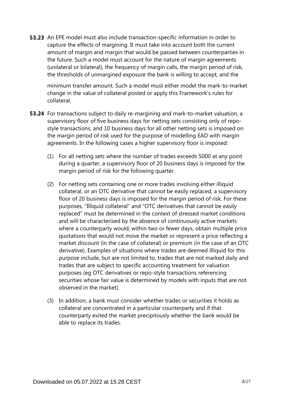**53.23** An EPE model must also include transaction-specific information in order to capture the effects of margining. It must take into account both the current amount of margin and margin that would be passed between counterparties in the future. Such a model must account for the nature of margin agreements (unilateral or bilateral), the frequency of margin calls, the margin period of risk, the thresholds of unmargined exposure the bank is willing to accept, and the

minimum transfer amount. Such a model must either model the mark-to-market change in the value of collateral posted or apply this Framework's rules for collateral.

- **53.24** For transactions subject to daily re-margining and mark-to-market valuation, a supervisory floor of five business days for netting sets consisting only of repostyle transactions, and 10 business days for all other netting sets is imposed on the margin period of risk used for the purpose of modelling EAD with margin agreements. In the following cases a higher supervisory floor is imposed:
	- (1) For all netting sets where the number of trades exceeds 5000 at any point during a quarter, a supervisory floor of 20 business days is imposed for the margin period of risk for the following quarter.
	- (2) For netting sets containing one or more trades involving either illiquid collateral, or an OTC derivative that cannot be easily replaced, a supervisory floor of 20 business days is imposed for the margin period of risk. For these purposes, "Illiquid collateral" and "OTC derivatives that cannot be easily replaced" must be determined in the context of stressed market conditions and will be characterised by the absence of continuously active markets where a counterparty would, within two or fewer days, obtain multiple price quotations that would not move the market or represent a price reflecting a market discount (in the case of collateral) or premium (in the case of an OTC derivative). Examples of situations where trades are deemed illiquid for this purpose include, but are not limited to, trades that are not marked daily and trades that are subject to specific accounting treatment for valuation purposes (eg OTC derivatives or repo-style transactions referencing securities whose fair value is determined by models with inputs that are not observed in the market).
	- (3) In addition, a bank must consider whether trades or securities it holds as collateral are concentrated in a particular counterparty and if that counterparty exited the market precipitously whether the bank would be able to replace its trades.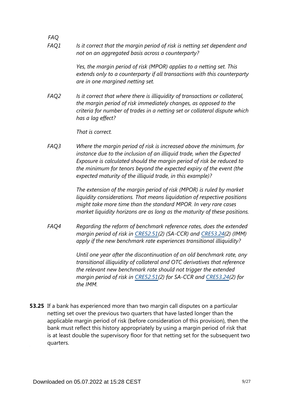*Is it correct that the margin period of risk is netting set dependent and not on an aggregated basis across a counterparty? FAQ1*

> *Yes, the margin period of risk (MPOR) applies to a netting set. This extends only to a counterparty if all transactions with this counterparty are in one margined netting set.*

*Is it correct that where there is illiquidity of transactions or collateral, the margin period of risk immediately changes, as opposed to the criteria for number of trades in a netting set or collateral dispute which has a lag effect? FAQ2*

*That is correct.*

*FAQ*

*Where the margin period of risk is increased above the minimum, for instance due to the inclusion of an illiquid trade, when the Expected Exposure is calculated should the margin period of risk be reduced to the minimum for tenors beyond the expected expiry of the event (the expected maturity of the illiquid trade, in this example)? FAQ3*

> *The extension of the margin period of risk (MPOR) is ruled by market liquidity considerations. That means liquidation of respective positions might take more time than the standard MPOR. In very rare cases market liquidity horizons are as long as the maturity of these positions.*

*Regarding the reform of benchmark reference rates, does the extended margin period of risk in [CRE52.51\(](https://www.bis.org/basel_framework/chapter/CRE/52.htm?tldate=20230101&inforce=20230101&published=20200605#paragraph_CRE_52_20230101_52_51)2) (SA-CCR) and [CRE53.24](https://www.bis.org/basel_framework/chapter/CRE/53.htm?tldate=20230101&inforce=20230101&published=20200605#paragraph_CRE_53_20230101_53_24)(2) (IMM) apply if the new benchmark rate experiences transitional illiquidity? FAQ4*

> *Until one year after the discontinuation of an old benchmark rate, any transitional illiquidity of collateral and OTC derivatives that reference the relevant new benchmark rate should not trigger the extended margin period of risk in [CRE52.51\(](https://www.bis.org/basel_framework/chapter/CRE/52.htm?tldate=20230101&inforce=20230101&published=20200605#paragraph_CRE_52_20230101_52_51)2) for SA-CCR and [CRE53.24\(](https://www.bis.org/basel_framework/chapter/CRE/53.htm?tldate=20230101&inforce=20230101&published=20200605#paragraph_CRE_53_20230101_53_24)2) for the IMM.*

**53.25** If a bank has experienced more than two margin call disputes on a particular netting set over the previous two quarters that have lasted longer than the applicable margin period of risk (before consideration of this provision), then the bank must reflect this history appropriately by using a margin period of risk that is at least double the supervisory floor for that netting set for the subsequent two quarters.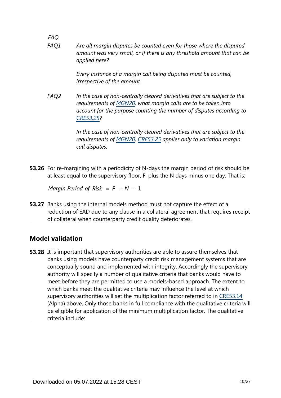*FAQ Are all margin disputes be counted even for those where the disputed amount was very small, or if there is any threshold amount that can be applied here? FAQ1*

> *Every instance of a margin call being disputed must be counted, irrespective of the amount.*

*In the case of non-centrally cleared derivatives that are subject to the requirements of [MGN20](https://www.bis.org/basel_framework/chapter/MGN/20.htm?tldate=20230101&inforce=20191215&published=20191215), what margin calls are to be taken into account for the purpose counting the number of disputes according to [CRE53.25?](https://www.bis.org/basel_framework/chapter/CRE/53.htm?tldate=20230101&inforce=20230101&published=20200605#paragraph_CRE_53_20230101_53_25) FAQ2*

> *In the case of non-centrally cleared derivatives that are subject to the requirements of [MGN20](https://www.bis.org/basel_framework/chapter/MGN/20.htm?tldate=20230101&inforce=20191215&published=20191215), [CRE53.25](https://www.bis.org/basel_framework/chapter/CRE/53.htm?tldate=20230101&inforce=20230101&published=20200605#paragraph_CRE_53_20230101_53_25) applies only to variation margin call disputes.*

**53.26** For re-margining with a periodicity of N-days the margin period of risk should be at least equal to the supervisory floor, F, plus the N days minus one day. That is:

Margin Period of Risk =  $F + N - 1$ 

**53.27** Banks using the internal models method must not capture the effect of a reduction of EAD due to any clause in a collateral agreement that requires receipt of collateral when counterparty credit quality deteriorates.

## **Model validation**

**53.28** It is important that supervisory authorities are able to assure themselves that banks using models have counterparty credit risk management systems that are conceptually sound and implemented with integrity. Accordingly the supervisory authority will specify a number of qualitative criteria that banks would have to meet before they are permitted to use a models-based approach. The extent to which banks meet the qualitative criteria may influence the level at which supervisory authorities will set the multiplication factor referred to in [CRE53.14](https://www.bis.org/basel_framework/chapter/CRE/53.htm?tldate=20230101&inforce=20230101&published=20200605#paragraph_CRE_53_20230101_53_14) (Alpha) above. Only those banks in full compliance with the qualitative criteria will be eligible for application of the minimum multiplication factor. The qualitative criteria include: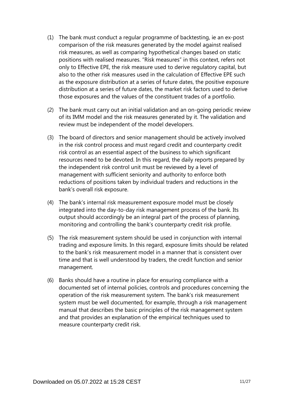- (1) The bank must conduct a regular programme of backtesting, ie an ex-post comparison of the risk measures generated by the model against realised risk measures, as well as comparing hypothetical changes based on static positions with realised measures. "Risk measures" in this context, refers not only to Effective EPE, the risk measure used to derive regulatory capital, but also to the other risk measures used in the calculation of Effective EPE such as the exposure distribution at a series of future dates, the positive exposure distribution at a series of future dates, the market risk factors used to derive those exposures and the values of the constituent trades of a portfolio.
- (2) The bank must carry out an initial validation and an on-going periodic review of its IMM model and the risk measures generated by it. The validation and review must be independent of the model developers.
- (3) The board of directors and senior management should be actively involved in the risk control process and must regard credit and counterparty credit risk control as an essential aspect of the business to which significant resources need to be devoted. In this regard, the daily reports prepared by the independent risk control unit must be reviewed by a level of management with sufficient seniority and authority to enforce both reductions of positions taken by individual traders and reductions in the bank's overall risk exposure.
- (4) The bank's internal risk measurement exposure model must be closely integrated into the day-to-day risk management process of the bank. Its output should accordingly be an integral part of the process of planning, monitoring and controlling the bank's counterparty credit risk profile.
- (5) The risk measurement system should be used in conjunction with internal trading and exposure limits. In this regard, exposure limits should be related to the bank's risk measurement model in a manner that is consistent over time and that is well understood by traders, the credit function and senior management.
- (6) Banks should have a routine in place for ensuring compliance with a documented set of internal policies, controls and procedures concerning the operation of the risk measurement system. The bank's risk measurement system must be well documented, for example, through a risk management manual that describes the basic principles of the risk management system and that provides an explanation of the empirical techniques used to measure counterparty credit risk.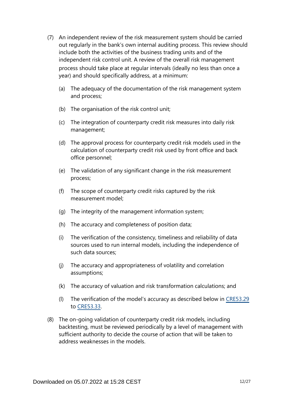- (7) An independent review of the risk measurement system should be carried out regularly in the bank's own internal auditing process. This review should include both the activities of the business trading units and of the independent risk control unit. A review of the overall risk management process should take place at regular intervals (ideally no less than once a year) and should specifically address, at a minimum:
	- (a) The adequacy of the documentation of the risk management system and process;
	- (b) The organisation of the risk control unit;
	- (c) The integration of counterparty credit risk measures into daily risk management;
	- (d) The approval process for counterparty credit risk models used in the calculation of counterparty credit risk used by front office and back office personnel;
	- (e) The validation of any significant change in the risk measurement process;
	- (f) The scope of counterparty credit risks captured by the risk measurement model;
	- (g) The integrity of the management information system;
	- (h) The accuracy and completeness of position data;
	- (i) The verification of the consistency, timeliness and reliability of data sources used to run internal models, including the independence of such data sources;
	- (j) The accuracy and appropriateness of volatility and correlation assumptions;
	- (k) The accuracy of valuation and risk transformation calculations; and
	- (l) The verification of the model's accuracy as described below in [CRE53.29](https://www.bis.org/basel_framework/chapter/CRE/53.htm?tldate=20230101&inforce=20230101&published=20200605#paragraph_CRE_53_20230101_53_29) to [CRE53.33](https://www.bis.org/basel_framework/chapter/CRE/53.htm?tldate=20230101&inforce=20230101&published=20200605#paragraph_CRE_53_20230101_53_33).
- (8) The on-going validation of counterparty credit risk models, including backtesting, must be reviewed periodically by a level of management with sufficient authority to decide the course of action that will be taken to address weaknesses in the models.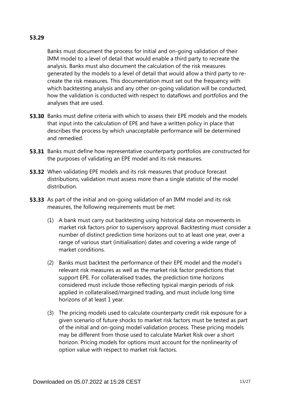#### **53.29**

Banks must document the process for initial and on-going validation of their IMM model to a level of detail that would enable a third party to recreate the analysis. Banks must also document the calculation of the risk measures generated by the models to a level of detail that would allow a third party to recreate the risk measures. This documentation must set out the frequency with which backtesting analysis and any other on-going validation will be conducted, how the validation is conducted with respect to dataflows and portfolios and the analyses that are used.

- **53.30** Banks must define criteria with which to assess their EPE models and the models that input into the calculation of EPE and have a written policy in place that describes the process by which unacceptable performance will be determined and remedied.
- **53.31** Banks must define how representative counterparty portfolios are constructed for the purposes of validating an EPE model and its risk measures.
- **53.32** When validating EPE models and its risk measures that produce forecast distributions, validation must assess more than a single statistic of the model distribution.
- **53.33** As part of the initial and on-going validation of an IMM model and its risk measures, the following requirements must be met:
	- (1) A bank must carry out backtesting using historical data on movements in market risk factors prior to supervisory approval. Backtesting must consider a number of distinct prediction time horizons out to at least one year, over a range of various start (initialisation) dates and covering a wide range of market conditions.
	- (2) Banks must backtest the performance of their EPE model and the model's relevant risk measures as well as the market risk factor predictions that support EPE. For collateralised trades, the prediction time horizons considered must include those reflecting typical margin periods of risk applied in collateralised/margined trading, and must include long time horizons of at least 1 year.
	- (3) The pricing models used to calculate counterparty credit risk exposure for a given scenario of future shocks to market risk factors must be tested as part of the initial and on-going model validation process. These pricing models may be different from those used to calculate Market Risk over a short horizon. Pricing models for options must account for the nonlinearity of option value with respect to market risk factors.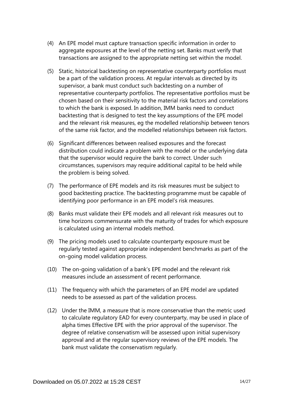- (4) An EPE model must capture transaction specific information in order to aggregate exposures at the level of the netting set. Banks must verify that transactions are assigned to the appropriate netting set within the model.
- (5) Static, historical backtesting on representative counterparty portfolios must be a part of the validation process. At regular intervals as directed by its supervisor, a bank must conduct such backtesting on a number of representative counterparty portfolios. The representative portfolios must be chosen based on their sensitivity to the material risk factors and correlations to which the bank is exposed. In addition, IMM banks need to conduct backtesting that is designed to test the key assumptions of the EPE model and the relevant risk measures, eg the modelled relationship between tenors of the same risk factor, and the modelled relationships between risk factors.
- (6) Significant differences between realised exposures and the forecast distribution could indicate a problem with the model or the underlying data that the supervisor would require the bank to correct. Under such circumstances, supervisors may require additional capital to be held while the problem is being solved.
- (7) The performance of EPE models and its risk measures must be subject to good backtesting practice. The backtesting programme must be capable of identifying poor performance in an EPE model's risk measures.
- (8) Banks must validate their EPE models and all relevant risk measures out to time horizons commensurate with the maturity of trades for which exposure is calculated using an internal models method.
- (9) The pricing models used to calculate counterparty exposure must be regularly tested against appropriate independent benchmarks as part of the on-going model validation process.
- (10) The on-going validation of a bank's EPE model and the relevant risk measures include an assessment of recent performance.
- (11) The frequency with which the parameters of an EPE model are updated needs to be assessed as part of the validation process.
- (12) Under the IMM, a measure that is more conservative than the metric used to calculate regulatory EAD for every counterparty, may be used in place of alpha times Effective EPE with the prior approval of the supervisor. The degree of relative conservatism will be assessed upon initial supervisory approval and at the regular supervisory reviews of the EPE models. The bank must validate the conservatism regularly.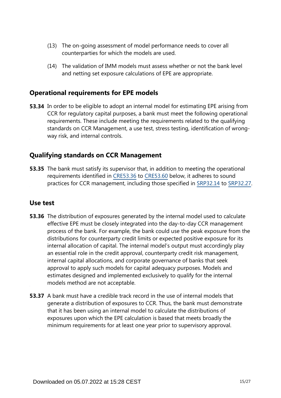- (13) The on-going assessment of model performance needs to cover all counterparties for which the models are used.
- (14) The validation of IMM models must assess whether or not the bank level and netting set exposure calculations of EPE are appropriate.

### **Operational requirements for EPE models**

**53.34** In order to be eligible to adopt an internal model for estimating EPE arising from CCR for regulatory capital purposes, a bank must meet the following operational requirements. These include meeting the requirements related to the qualifying standards on CCR Management, a use test, stress testing, identification of wrongway risk, and internal controls.

## **Qualifying standards on CCR Management**

**53.35** The bank must satisfy its supervisor that, in addition to meeting the operational requirements identified in [CRE53.36](https://www.bis.org/basel_framework/chapter/CRE/53.htm?tldate=20230101&inforce=20230101&published=20200605#paragraph_CRE_53_20230101_53_36) to [CRE53.60](https://www.bis.org/basel_framework/chapter/CRE/53.htm?tldate=20230101&inforce=20230101&published=20200605#paragraph_CRE_53_20230101_53_60) below, it adheres to sound practices for CCR management, including those specified in [SRP32.14](https://www.bis.org/basel_framework/chapter/SRP/32.htm?tldate=20230101&inforce=20230101&published=20200327#paragraph_SRP_32_20230101_32_14) to [SRP32.27](https://www.bis.org/basel_framework/chapter/SRP/32.htm?tldate=20230101&inforce=20230101&published=20200327#paragraph_SRP_32_20230101_32_27).

#### **Use test**

- **53.36** The distribution of exposures generated by the internal model used to calculate effective EPE must be closely integrated into the day-to-day CCR management process of the bank. For example, the bank could use the peak exposure from the distributions for counterparty credit limits or expected positive exposure for its internal allocation of capital. The internal model's output must accordingly play an essential role in the credit approval, counterparty credit risk management, internal capital allocations, and corporate governance of banks that seek approval to apply such models for capital adequacy purposes. Models and estimates designed and implemented exclusively to qualify for the internal models method are not acceptable.
- **53.37** A bank must have a credible track record in the use of internal models that generate a distribution of exposures to CCR. Thus, the bank must demonstrate that it has been using an internal model to calculate the distributions of exposures upon which the EPE calculation is based that meets broadly the minimum requirements for at least one year prior to supervisory approval.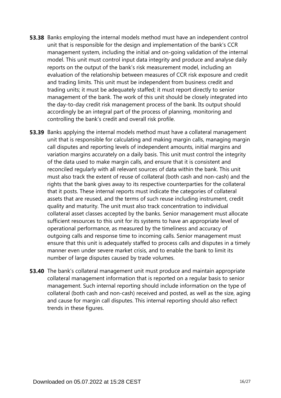- **53.38** Banks employing the internal models method must have an independent control unit that is responsible for the design and implementation of the bank's CCR management system, including the initial and on-going validation of the internal model. This unit must control input data integrity and produce and analyse daily reports on the output of the bank's risk measurement model, including an evaluation of the relationship between measures of CCR risk exposure and credit and trading limits. This unit must be independent from business credit and trading units; it must be adequately staffed; it must report directly to senior management of the bank. The work of this unit should be closely integrated into the day-to-day credit risk management process of the bank. Its output should accordingly be an integral part of the process of planning, monitoring and controlling the bank's credit and overall risk profile.
- **53.39** Banks applying the internal models method must have a collateral management unit that is responsible for calculating and making margin calls, managing margin call disputes and reporting levels of independent amounts, initial margins and variation margins accurately on a daily basis. This unit must control the integrity of the data used to make margin calls, and ensure that it is consistent and reconciled regularly with all relevant sources of data within the bank. This unit must also track the extent of reuse of collateral (both cash and non-cash) and the rights that the bank gives away to its respective counterparties for the collateral that it posts. These internal reports must indicate the categories of collateral assets that are reused, and the terms of such reuse including instrument, credit quality and maturity. The unit must also track concentration to individual collateral asset classes accepted by the banks. Senior management must allocate sufficient resources to this unit for its systems to have an appropriate level of operational performance, as measured by the timeliness and accuracy of outgoing calls and response time to incoming calls. Senior management must ensure that this unit is adequately staffed to process calls and disputes in a timely manner even under severe market crisis, and to enable the bank to limit its number of large disputes caused by trade volumes.
- **53.40** The bank's collateral management unit must produce and maintain appropriate collateral management information that is reported on a regular basis to senior management. Such internal reporting should include information on the type of collateral (both cash and non-cash) received and posted, as well as the size, aging and cause for margin call disputes. This internal reporting should also reflect trends in these figures.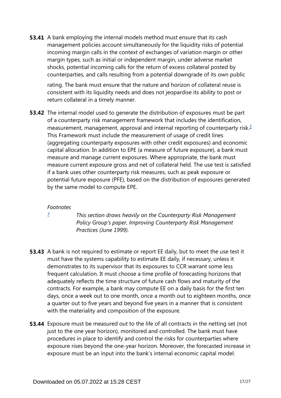**53.41** A bank employing the internal models method must ensure that its cash management policies account simultaneously for the liquidity risks of potential incoming margin calls in the context of exchanges of variation margin or other margin types, such as initial or independent margin, under adverse market shocks, potential incoming calls for the return of excess collateral posted by counterparties, and calls resulting from a potential downgrade of its own public

rating. The bank must ensure that the nature and horizon of collateral reuse is consistent with its liquidity needs and does not jeopardise its ability to post or return collateral in a timely manner.

<span id="page-16-1"></span>**53.42** The internal model used to generate the distribution of exposures must be part of a counterparty risk management framework that includes the identification, measurement, management, approval and internal reporting of counterparty risk.<sup>[3](#page-16-0)</sup> This Framework must include the measurement of usage of credit lines (aggregating counterparty exposures with other credit exposures) and economic capital allocation. In addition to EPE (a measure of future exposure), a bank must measure and manage current exposures. Where appropriate, the bank must measure current exposure gross and net of collateral held. The use test is satisfied if a bank uses other counterparty risk measures, such as peak exposure or potential future exposure (PFE), based on the distribution of exposures generated by the same model to compute EPE.

#### *Footnotes*

<span id="page-16-0"></span>*[3](#page-16-1)*

*This section draws heavily on the Counterparty Risk Management Policy Group's paper, Improving Counterparty Risk Management Practices (June 1999).*

- **53.43** A bank is not required to estimate or report EE daily, but to meet the use test it must have the systems capability to estimate EE daily, if necessary, unless it demonstrates to its supervisor that its exposures to CCR warrant some less frequent calculation. It must choose a time profile of forecasting horizons that adequately reflects the time structure of future cash flows and maturity of the contracts. For example, a bank may compute EE on a daily basis for the first ten days, once a week out to one month, once a month out to eighteen months, once a quarter out to five years and beyond five years in a manner that is consistent with the materiality and composition of the exposure.
- **53.44** Exposure must be measured out to the life of all contracts in the netting set (not just to the one year horizon), monitored and controlled. The bank must have procedures in place to identify and control the risks for counterparties where exposure rises beyond the one-year horizon. Moreover, the forecasted increase in exposure must be an input into the bank's internal economic capital model.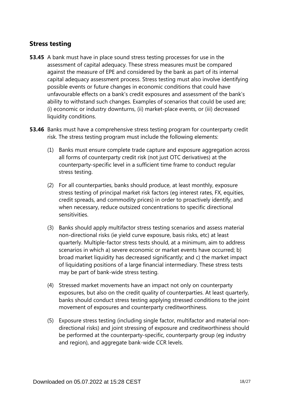## **Stress testing**

- **53.45** A bank must have in place sound stress testing processes for use in the assessment of capital adequacy. These stress measures must be compared against the measure of EPE and considered by the bank as part of its internal capital adequacy assessment process. Stress testing must also involve identifying possible events or future changes in economic conditions that could have unfavourable effects on a bank's credit exposures and assessment of the bank's ability to withstand such changes. Examples of scenarios that could be used are; (i) economic or industry downturns, (ii) market-place events, or (iii) decreased liquidity conditions.
- **53.46** Banks must have a comprehensive stress testing program for counterparty credit risk. The stress testing program must include the following elements:
	- (1) Banks must ensure complete trade capture and exposure aggregation across all forms of counterparty credit risk (not just OTC derivatives) at the counterparty-specific level in a sufficient time frame to conduct regular stress testing.
	- (2) For all counterparties, banks should produce, at least monthly, exposure stress testing of principal market risk factors (eg interest rates, FX, equities, credit spreads, and commodity prices) in order to proactively identify, and when necessary, reduce outsized concentrations to specific directional sensitivities.
	- (3) Banks should apply multifactor stress testing scenarios and assess material non-directional risks (ie yield curve exposure, basis risks, etc) at least quarterly. Multiple-factor stress tests should, at a minimum, aim to address scenarios in which a) severe economic or market events have occurred; b) broad market liquidity has decreased significantly; and c) the market impact of liquidating positions of a large financial intermediary. These stress tests may be part of bank-wide stress testing.
	- (4) Stressed market movements have an impact not only on counterparty exposures, but also on the credit quality of counterparties. At least quarterly, banks should conduct stress testing applying stressed conditions to the joint movement of exposures and counterparty creditworthiness.
	- (5) Exposure stress testing (including single factor, multifactor and material nondirectional risks) and joint stressing of exposure and creditworthiness should be performed at the counterparty-specific, counterparty group (eg industry and region), and aggregate bank-wide CCR levels.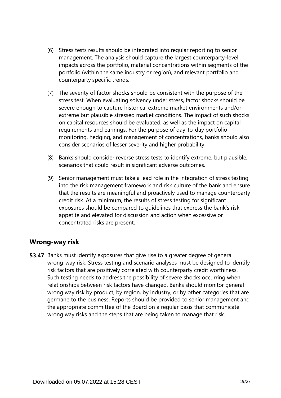- (6) Stress tests results should be integrated into regular reporting to senior management. The analysis should capture the largest counterparty-level impacts across the portfolio, material concentrations within segments of the portfolio (within the same industry or region), and relevant portfolio and counterparty specific trends.
- (7) The severity of factor shocks should be consistent with the purpose of the stress test. When evaluating solvency under stress, factor shocks should be severe enough to capture historical extreme market environments and/or extreme but plausible stressed market conditions. The impact of such shocks on capital resources should be evaluated, as well as the impact on capital requirements and earnings. For the purpose of day-to-day portfolio monitoring, hedging, and management of concentrations, banks should also consider scenarios of lesser severity and higher probability.
- (8) Banks should consider reverse stress tests to identify extreme, but plausible, scenarios that could result in significant adverse outcomes.
- (9) Senior management must take a lead role in the integration of stress testing into the risk management framework and risk culture of the bank and ensure that the results are meaningful and proactively used to manage counterparty credit risk. At a minimum, the results of stress testing for significant exposures should be compared to guidelines that express the bank's risk appetite and elevated for discussion and action when excessive or concentrated risks are present.

### **Wrong-way risk**

**53.47** Banks must identify exposures that give rise to a greater degree of general wrong-way risk. Stress testing and scenario analyses must be designed to identify risk factors that are positively correlated with counterparty credit worthiness. Such testing needs to address the possibility of severe shocks occurring when relationships between risk factors have changed. Banks should monitor general wrong way risk by product, by region, by industry, or by other categories that are germane to the business. Reports should be provided to senior management and the appropriate committee of the Board on a regular basis that communicate wrong way risks and the steps that are being taken to manage that risk.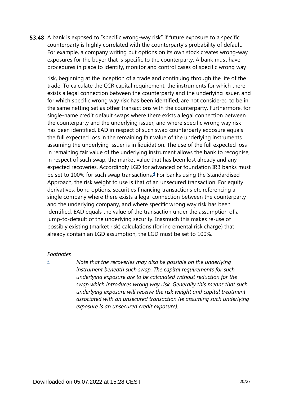**53.48** A bank is exposed to "specific wrong-way risk" if future exposure to a specific counterparty is highly correlated with the counterparty's probability of default. For example, a company writing put options on its own stock creates wrong-way exposures for the buyer that is specific to the counterparty. A bank must have procedures in place to identify, monitor and control cases of specific wrong way

risk, beginning at the inception of a trade and continuing through the life of the trade. To calculate the CCR capital requirement, the instruments for which there exists a legal connection between the counterparty and the underlying issuer, and for which specific wrong way risk has been identified, are not considered to be in the same netting set as other transactions with the counterparty. Furthermore, for single-name credit default swaps where there exists a legal connection between the counterparty and the underlying issuer, and where specific wrong way risk has been identified, EAD in respect of such swap counterparty exposure equals the full expected loss in the remaining fair value of the underlying instruments assuming the underlying issuer is in liquidation. The use of the full expected loss in remaining fair value of the underlying instrument allows the bank to recognise, in respect of such swap, the market value that has been lost already and any expected recoveries. Accordingly LGD for advanced or foundation IRB banks must be set to 100% for such swap transactions. $4$  For banks using the Standardised Approach, the risk weight to use is that of an unsecured transaction. For equity derivatives, bond options, securities financing transactions etc referencing a single company where there exists a legal connection between the counterparty and the underlying company, and where specific wrong way risk has been identified, EAD equals the value of the transaction under the assumption of a jump-to-default of the underlying security. Inasmuch this makes re-use of possibly existing (market risk) calculations (for incremental risk charge) that already contain an LGD assumption, the LGD must be set to 100%.

#### <span id="page-19-1"></span><span id="page-19-0"></span>*Footnotes*

*[4](#page-19-1)*

*Note that the recoveries may also be possible on the underlying instrument beneath such swap. The capital requirements for such underlying exposure are to be calculated without reduction for the swap which introduces wrong way risk. Generally this means that such underlying exposure will receive the risk weight and capital treatment associated with an unsecured transaction (ie assuming such underlying exposure is an unsecured credit exposure).*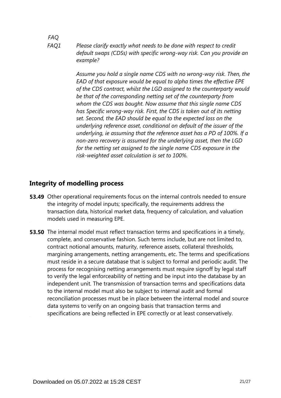## *FAQ*

*Please clarify exactly what needs to be done with respect to credit default swaps (CDSs) with specific wrong-way risk. Can you provide an example? FAQ1*

> *Assume you hold a single name CDS with no wrong-way risk. Then, the EAD of that exposure would be equal to alpha times the effective EPE of the CDS contract, whilst the LGD assigned to the counterparty would be that of the corresponding netting set of the counterparty from whom the CDS was bought. Now assume that this single name CDS has Specific wrong-way risk. First, the CDS is taken out of its netting set. Second, the EAD should be equal to the expected loss on the underlying reference asset, conditional on default of the issuer of the underlying, ie assuming that the reference asset has a PD of 100%. If a non-zero recovery is assumed for the underlying asset, then the LGD for the netting set assigned to the single name CDS exposure in the risk-weighted asset calculation is set to 100%.*

## **Integrity of modelling process**

- **53.49** Other operational requirements focus on the internal controls needed to ensure the integrity of model inputs; specifically, the requirements address the transaction data, historical market data, frequency of calculation, and valuation models used in measuring EPE.
- **53.50** The internal model must reflect transaction terms and specifications in a timely, complete, and conservative fashion. Such terms include, but are not limited to, contract notional amounts, maturity, reference assets, collateral thresholds, margining arrangements, netting arrangements, etc. The terms and specifications must reside in a secure database that is subject to formal and periodic audit. The process for recognising netting arrangements must require signoff by legal staff to verify the legal enforceability of netting and be input into the database by an independent unit. The transmission of transaction terms and specifications data to the internal model must also be subject to internal audit and formal reconciliation processes must be in place between the internal model and source data systems to verify on an ongoing basis that transaction terms and specifications are being reflected in EPE correctly or at least conservatively.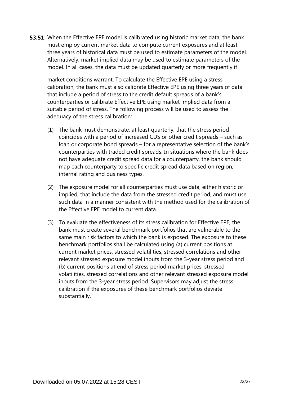**53.51** When the Effective EPE model is calibrated using historic market data, the bank must employ current market data to compute current exposures and at least three years of historical data must be used to estimate parameters of the model. Alternatively, market implied data may be used to estimate parameters of the model. In all cases, the data must be updated quarterly or more frequently if

market conditions warrant. To calculate the Effective EPE using a stress calibration, the bank must also calibrate Effective EPE using three years of data that include a period of stress to the credit default spreads of a bank's counterparties or calibrate Effective EPE using market implied data from a suitable period of stress. The following process will be used to assess the adequacy of the stress calibration:

- (1) The bank must demonstrate, at least quarterly, that the stress period coincides with a period of increased CDS or other credit spreads – such as loan or corporate bond spreads – for a representative selection of the bank's counterparties with traded credit spreads. In situations where the bank does not have adequate credit spread data for a counterparty, the bank should map each counterparty to specific credit spread data based on region, internal rating and business types.
- (2) The exposure model for all counterparties must use data, either historic or implied, that include the data from the stressed credit period, and must use such data in a manner consistent with the method used for the calibration of the Effective EPE model to current data.
- (3) To evaluate the effectiveness of its stress calibration for Effective EPE, the bank must create several benchmark portfolios that are vulnerable to the same main risk factors to which the bank is exposed. The exposure to these benchmark portfolios shall be calculated using (a) current positions at current market prices, stressed volatilities, stressed correlations and other relevant stressed exposure model inputs from the 3-year stress period and (b) current positions at end of stress period market prices, stressed volatilities, stressed correlations and other relevant stressed exposure model inputs from the 3-year stress period. Supervisors may adjust the stress calibration if the exposures of these benchmark portfolios deviate substantially.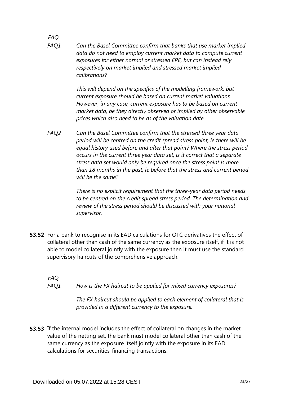*FAQ Can the Basel Committee confirm that banks that use market implied data do not need to employ current market data to compute current exposures for either normal or stressed EPE, but can instead rely respectively on market implied and stressed market implied calibrations? FAQ1*

> *This will depend on the specifics of the modelling framework, but current exposure should be based on current market valuations. However, in any case, current exposure has to be based on current market data, be they directly observed or implied by other observable prices which also need to be as of the valuation date.*

*Can the Basel Committee confirm that the stressed three year data period will be centred on the credit spread stress point, ie there will be equal history used before and after that point? Where the stress period occurs in the current three year data set, is it correct that a separate stress data set would only be required once the stress point is more than 18 months in the past, ie before that the stress and current period will be the same? FAQ2*

> *There is no explicit requirement that the three-year data period needs to be centred on the credit spread stress period. The determination and review of the stress period should be discussed with your national supervisor.*

**53.52** For a bank to recognise in its EAD calculations for OTC derivatives the effect of collateral other than cash of the same currency as the exposure itself, if it is not able to model collateral jointly with the exposure then it must use the standard supervisory haircuts of the comprehensive approach.

*FAQ How is the FX haircut to be applied for mixed currency exposures? FAQ1*

> *The FX haircut should be applied to each element of collateral that is provided in a different currency to the exposure.*

**53.53** If the internal model includes the effect of collateral on changes in the market value of the netting set, the bank must model collateral other than cash of the same currency as the exposure itself jointly with the exposure in its EAD calculations for securities-financing transactions.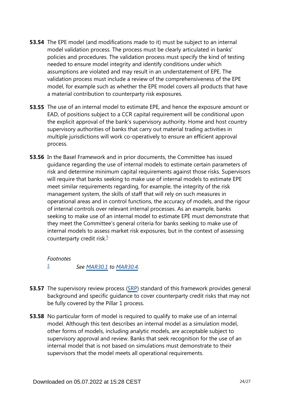- **53.54** The EPE model (and modifications made to it) must be subject to an internal model validation process. The process must be clearly articulated in banks' policies and procedures. The validation process must specify the kind of testing needed to ensure model integrity and identify conditions under which assumptions are violated and may result in an understatement of EPE. The validation process must include a review of the comprehensiveness of the EPE model, for example such as whether the EPE model covers all products that have a material contribution to counterparty risk exposures.
- **53.55** The use of an internal model to estimate EPE, and hence the exposure amount or EAD, of positions subject to a CCR capital requirement will be conditional upon the explicit approval of the bank's supervisory authority. Home and host country supervisory authorities of banks that carry out material trading activities in multiple jurisdictions will work co-operatively to ensure an efficient approval process.
- **53.56** In the Basel Framework and in prior documents, the Committee has issued guidance regarding the use of internal models to estimate certain parameters of risk and determine minimum capital requirements against those risks. Supervisors will require that banks seeking to make use of internal models to estimate EPE meet similar requirements regarding, for example, the integrity of the risk management system, the skills of staff that will rely on such measures in operational areas and in control functions, the accuracy of models, and the rigour of internal controls over relevant internal processes. As an example, banks seeking to make use of an internal model to estimate EPE must demonstrate that they meet the Committee's general criteria for banks seeking to make use of internal models to assess market risk exposures, but in the context of assessing counterparty credit risk. $5$

<span id="page-23-1"></span>*Footnotes See [MAR30.1](https://www.bis.org/basel_framework/chapter/MAR/30.htm?tldate=20230101&inforce=20230101&published=20200327#paragraph_MAR_30_20230101_30_1) to [MAR30.4](https://www.bis.org/basel_framework/chapter/MAR/30.htm?tldate=20230101&inforce=20230101&published=20200327#paragraph_MAR_30_20230101_30_4). [5](#page-23-1)*

- <span id="page-23-0"></span>**53.57** The supervisory review process ([SRP\)](https://www.bis.org/basel_framework/standard/SRP.htm?tldate=20230101) standard of this framework provides general background and specific guidance to cover counterparty credit risks that may not be fully covered by the Pillar 1 process.
- **53.58** No particular form of model is required to qualify to make use of an internal model. Although this text describes an internal model as a simulation model, other forms of models, including analytic models, are acceptable subject to supervisory approval and review. Banks that seek recognition for the use of an internal model that is not based on simulations must demonstrate to their supervisors that the model meets all operational requirements.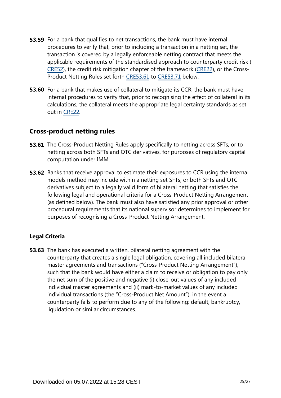- **53.59** For a bank that qualifies to net transactions, the bank must have internal procedures to verify that, prior to including a transaction in a netting set, the transaction is covered by a legally enforceable netting contract that meets the applicable requirements of the standardised approach to counterparty credit risk ( [CRE52\)](https://www.bis.org/basel_framework/chapter/CRE/52.htm?tldate=20230101&inforce=20230101&published=20200605), the credit risk mitigation chapter of the framework ([CRE22](https://www.bis.org/basel_framework/chapter/CRE/22.htm?tldate=20230101&inforce=20230101&published=20201126)), or the Cross-Product Netting Rules set forth [CRE53.61](https://www.bis.org/basel_framework/chapter/CRE/53.htm?tldate=20230101&inforce=20230101&published=20200605#paragraph_CRE_53_20230101_53_61) to [CRE53.71](https://www.bis.org/basel_framework/chapter/CRE/53.htm?tldate=20230101&inforce=20230101&published=20200605#paragraph_CRE_53_20230101_53_71) below.
- **53.60** For a bank that makes use of collateral to mitigate its CCR, the bank must have internal procedures to verify that, prior to recognising the effect of collateral in its calculations, the collateral meets the appropriate legal certainty standards as set out in [CRE22.](https://www.bis.org/basel_framework/chapter/CRE/22.htm?tldate=20230101&inforce=20230101&published=20201126)

### **Cross-product netting rules**

- **53.61** The Cross-Product Netting Rules apply specifically to netting across SFTs, or to netting across both SFTs and OTC derivatives, for purposes of regulatory capital computation under IMM.
- **53.62** Banks that receive approval to estimate their exposures to CCR using the internal models method may include within a netting set SFTs, or both SFTs and OTC derivatives subject to a legally valid form of bilateral netting that satisfies the following legal and operational criteria for a Cross-Product Netting Arrangement (as defined below). The bank must also have satisfied any prior approval or other procedural requirements that its national supervisor determines to implement for purposes of recognising a Cross-Product Netting Arrangement.

#### **Legal Criteria**

**53.63** The bank has executed a written, bilateral netting agreement with the counterparty that creates a single legal obligation, covering all included bilateral master agreements and transactions ("Cross-Product Netting Arrangement"), such that the bank would have either a claim to receive or obligation to pay only the net sum of the positive and negative (i) close-out values of any included individual master agreements and (ii) mark-to-market values of any included individual transactions (the "Cross-Product Net Amount"), in the event a counterparty fails to perform due to any of the following: default, bankruptcy, liquidation or similar circumstances.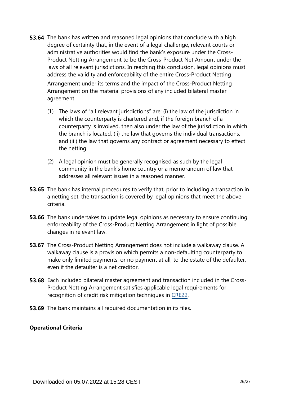**53.64** The bank has written and reasoned legal opinions that conclude with a high degree of certainty that, in the event of a legal challenge, relevant courts or administrative authorities would find the bank's exposure under the Cross-Product Netting Arrangement to be the Cross-Product Net Amount under the laws of all relevant jurisdictions. In reaching this conclusion, legal opinions must address the validity and enforceability of the entire Cross-Product Netting

Arrangement under its terms and the impact of the Cross-Product Netting Arrangement on the material provisions of any included bilateral master agreement.

- (1) The laws of "all relevant jurisdictions" are: (i) the law of the jurisdiction in which the counterparty is chartered and, if the foreign branch of a counterparty is involved, then also under the law of the jurisdiction in which the branch is located, (ii) the law that governs the individual transactions, and (iii) the law that governs any contract or agreement necessary to effect the netting.
- (2) A legal opinion must be generally recognised as such by the legal community in the bank's home country or a memorandum of law that addresses all relevant issues in a reasoned manner.
- **53.65** The bank has internal procedures to verify that, prior to including a transaction in a netting set, the transaction is covered by legal opinions that meet the above criteria.
- **53.66** The bank undertakes to update legal opinions as necessary to ensure continuing enforceability of the Cross-Product Netting Arrangement in light of possible changes in relevant law.
- **53.67** The Cross-Product Netting Arrangement does not include a walkaway clause. A walkaway clause is a provision which permits a non-defaulting counterparty to make only limited payments, or no payment at all, to the estate of the defaulter, even if the defaulter is a net creditor.
- **53.68** Each included bilateral master agreement and transaction included in the Cross-Product Netting Arrangement satisfies applicable legal requirements for recognition of credit risk mitigation techniques in [CRE22](https://www.bis.org/basel_framework/chapter/CRE/22.htm?tldate=20230101&inforce=20230101&published=20201126).
- **53.69** The bank maintains all required documentation in its files.

#### **Operational Criteria**